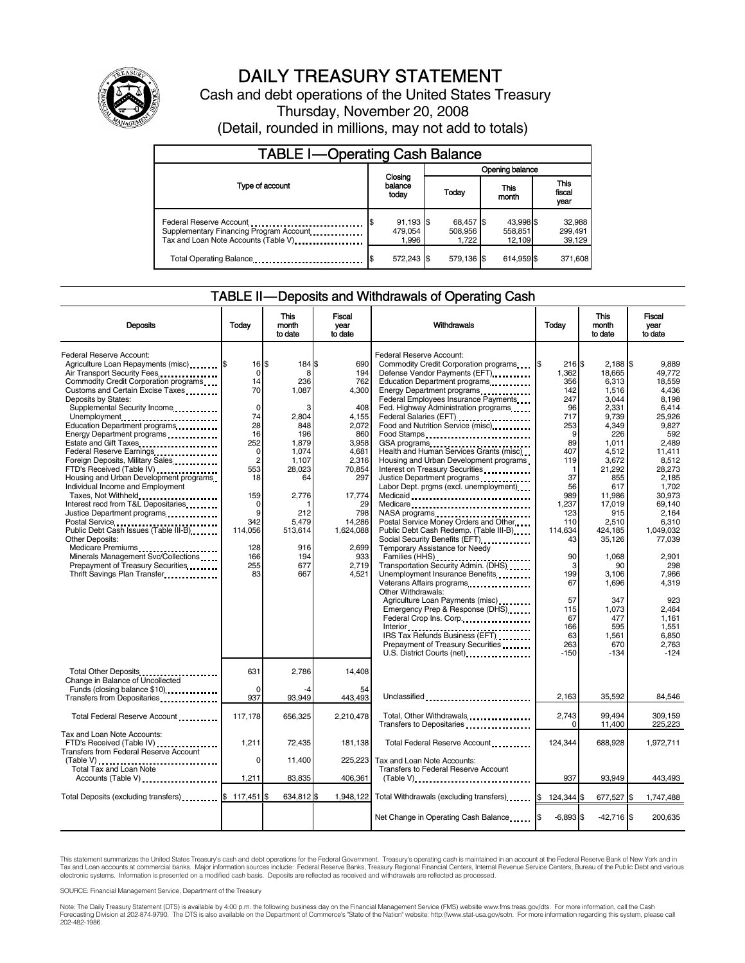

# DAILY TREASURY STATEMENT

Cash and debt operations of the United States Treasury Thursday, November 20, 2008 (Detail, rounded in millions, may not add to totals)

| <b>TABLE I-Operating Cash Balance</b>                                                                      |                                 |                               |                                |                               |  |  |  |
|------------------------------------------------------------------------------------------------------------|---------------------------------|-------------------------------|--------------------------------|-------------------------------|--|--|--|
|                                                                                                            |                                 | Opening balance               |                                |                               |  |  |  |
| Type of account                                                                                            | Closing<br>balance<br>today     | Today                         | This<br>month                  | <b>This</b><br>fiscal<br>year |  |  |  |
| Federal Reserve Account<br>Supplementary Financing Program Account<br>Tax and Loan Note Accounts (Table V) | $91,193$ \$<br>479.054<br>1.996 | 68,457 \$<br>508,956<br>1.722 | 43.998 \$<br>558,851<br>12.109 | 32,988<br>299,491<br>39,129   |  |  |  |
| Total Operating Balance                                                                                    | 572,243 \$                      | 579.136 \$                    | 614.959 \$                     | 371,608                       |  |  |  |

#### TABLE II — Deposits and Withdrawals of Operating Cash

| <b>Deposits</b>                                                                                                                                                                                                                                                                                                                                                                                                                                                                                                                                                                                                                                                                                                                                                                                 | Todav                                                                                                                                                          | This<br>month<br>to date                                                                                                                                           | Fiscal<br>vear<br>to date                                                                                                                                                              | Withdrawals                                                                                                                                                                                                                                                                                                                                                                                                                                                                                                                                                                                                                                                                                                                                                                                                                                                                                                                                                                                                                                                  |                                                                                                                                                                                                                                          | Today                                                                                                                                                                                                                                                                                  |                                                                                                                                                                                                                                                                                                     | <b>This</b><br>month<br>to date | Fiscal<br>vear<br>to date |
|-------------------------------------------------------------------------------------------------------------------------------------------------------------------------------------------------------------------------------------------------------------------------------------------------------------------------------------------------------------------------------------------------------------------------------------------------------------------------------------------------------------------------------------------------------------------------------------------------------------------------------------------------------------------------------------------------------------------------------------------------------------------------------------------------|----------------------------------------------------------------------------------------------------------------------------------------------------------------|--------------------------------------------------------------------------------------------------------------------------------------------------------------------|----------------------------------------------------------------------------------------------------------------------------------------------------------------------------------------|--------------------------------------------------------------------------------------------------------------------------------------------------------------------------------------------------------------------------------------------------------------------------------------------------------------------------------------------------------------------------------------------------------------------------------------------------------------------------------------------------------------------------------------------------------------------------------------------------------------------------------------------------------------------------------------------------------------------------------------------------------------------------------------------------------------------------------------------------------------------------------------------------------------------------------------------------------------------------------------------------------------------------------------------------------------|------------------------------------------------------------------------------------------------------------------------------------------------------------------------------------------------------------------------------------------|----------------------------------------------------------------------------------------------------------------------------------------------------------------------------------------------------------------------------------------------------------------------------------------|-----------------------------------------------------------------------------------------------------------------------------------------------------------------------------------------------------------------------------------------------------------------------------------------------------|---------------------------------|---------------------------|
| Federal Reserve Account:<br>Agriculture Loan Repayments (misc) \$<br>Air Transport Security Fees<br>Commodity Credit Corporation programs<br>Customs and Certain Excise Taxes<br>Deposits by States:<br>Supplemental Security Income<br>Unemployment<br>Education Department programs<br>Energy Department programs<br>Federal Reserve Earnings<br>Foreign Deposits, Military Sales<br>FTD's Received (Table IV)<br>Housing and Urban Development programs<br>Individual Income and Employment<br>Taxes, Not Withheld<br>Interest recd from T&L Depositaries<br>Justice Department programs<br>Public Debt Cash Issues (Table III-B)<br><b>Other Deposits:</b><br>Medicare Premiums<br>Minerals Management Svc/Collections<br>Prepayment of Treasury Securities<br>Thrift Savings Plan Transfer | 16S<br>0<br>14<br>70<br>$\mathbf 0$<br>74<br>28<br>16<br>252<br>0<br>$\overline{2}$<br>553<br>18<br>159<br>0<br>9<br>342<br>114,056<br>128<br>166<br>255<br>83 | 184 \$<br>8<br>236<br>1.087<br>3<br>2,804<br>848<br>196<br>1,879<br>1,074<br>1.107<br>28.023<br>64<br>2,776<br>212<br>5,479<br>513,614<br>916<br>194<br>677<br>667 | 690<br>194<br>762<br>4.300<br>408<br>4,155<br>2,072<br>860<br>3,958<br>4,681<br>2,316<br>70.854<br>297<br>17,774<br>29<br>798<br>14,286<br>1,624,088<br>2.699<br>933<br>2,719<br>4,521 | Federal Reserve Account:<br>Commodity Credit Corporation programs<br>Defense Vendor Payments (EFT)<br>Education Department programs<br>Federal Employees Insurance Payments<br>Fed. Highway Administration programs<br>Federal Salaries (EFT)<br>Food and Nutrition Service (misc)<br>Food Stamps<br>GSA programs<br>Health and Human Services Grants (misc)<br>Housing and Urban Development programs<br>Interest on Treasury Securities<br>Justice Department programs<br><br>Labor Dept. prgms (excl. unemployment)<br>Medicaid<br>Medicare<br>Postal Service Money Orders and Other<br>Public Debt Cash Redemp. (Table III-B)<br>Social Security Benefits (EFT)<br>Temporary Assistance for Needy<br>Families (HHS)<br>Transportation Security Admin. (DHS)<br>Unemployment Insurance Benefits<br>Veterans Affairs programs<br>Other Withdrawals:<br>Agriculture Loan Payments (misc)<br>Emergency Prep & Response (DHS)<br>Federal Crop Ins. Corp.<br>IRS Tax Refunds Business (EFT)<br>Prepayment of Treasury Securities<br>U.S. District Courts (net) | l\$<br>216S<br>1.362<br>356<br>142<br>247<br>96<br>717<br>253<br>9<br>89<br>407<br>119<br>$\mathbf{1}$<br>37<br>56<br>989<br>1.237<br>123<br>110<br>114,634<br>43<br>90<br>3<br>199<br>67<br>57<br>115<br>67<br>166<br>63<br>263<br>-150 | $2,188$ \$<br>18,665<br>6,313<br>1,516<br>3,044<br>2,331<br>9,739<br>4,349<br>226<br>1,011<br>4,512<br>3,672<br>21,292<br>855<br>617<br>11,986<br>17,019<br>915<br>2,510<br>424,185<br>35,126<br>1,068<br>90<br>3,106<br>1,696<br>347<br>1,073<br>477<br>595<br>1,561<br>670<br>$-134$ | 9.889<br>49.772<br>18.559<br>4.436<br>8,198<br>6.414<br>25,926<br>9.827<br>592<br>2,489<br>11,411<br>8.512<br>28.273<br>2,185<br>1.702<br>30.973<br>69.140<br>2,164<br>6,310<br>1,049,032<br>77,039<br>2,901<br>298<br>7,966<br>4.319<br>923<br>2.464<br>1.161<br>1.551<br>6,850<br>2,763<br>$-124$ |                                 |                           |
| Total Other Deposits<br>Change in Balance of Uncollected<br>Funds (closing balance \$10)                                                                                                                                                                                                                                                                                                                                                                                                                                                                                                                                                                                                                                                                                                        | 631<br>$\Omega$<br>937                                                                                                                                         | 2,786<br>93.949                                                                                                                                                    | 14,408<br>54<br>443.493                                                                                                                                                                | Unclassified                                                                                                                                                                                                                                                                                                                                                                                                                                                                                                                                                                                                                                                                                                                                                                                                                                                                                                                                                                                                                                                 | 2,163                                                                                                                                                                                                                                    | 35,592                                                                                                                                                                                                                                                                                 | 84,546                                                                                                                                                                                                                                                                                              |                                 |                           |
| Transfers from Depositaries<br>Total Federal Reserve Account                                                                                                                                                                                                                                                                                                                                                                                                                                                                                                                                                                                                                                                                                                                                    | 117,178                                                                                                                                                        | 656,325                                                                                                                                                            | 2.210.478                                                                                                                                                                              | Total, Other Withdrawals                                                                                                                                                                                                                                                                                                                                                                                                                                                                                                                                                                                                                                                                                                                                                                                                                                                                                                                                                                                                                                     | 2,743                                                                                                                                                                                                                                    | 99.494                                                                                                                                                                                                                                                                                 | 309.159                                                                                                                                                                                                                                                                                             |                                 |                           |
| Tax and Loan Note Accounts:<br>FTD's Received (Table IV)<br>Transfers from Federal Reserve Account<br>Total Tax and Loan Note<br>Accounts (Table V)                                                                                                                                                                                                                                                                                                                                                                                                                                                                                                                                                                                                                                             | 1.211<br>0<br>1,211                                                                                                                                            | 72.435<br>11.400<br>83,835                                                                                                                                         | 181,138<br>225.223<br>406,361                                                                                                                                                          | Transfers to Depositaries<br>Total Federal Reserve Account<br>Tax and Loan Note Accounts:<br>Transfers to Federal Reserve Account<br>$(Table V)$                                                                                                                                                                                                                                                                                                                                                                                                                                                                                                                                                                                                                                                                                                                                                                                                                                                                                                             | $\Omega$<br>124.344<br>937                                                                                                                                                                                                               | 11,400<br>688.928<br>93,949                                                                                                                                                                                                                                                            | 225,223<br>1,972,711<br>443,493                                                                                                                                                                                                                                                                     |                                 |                           |
| Total Deposits (excluding transfers) \$117,451 \$                                                                                                                                                                                                                                                                                                                                                                                                                                                                                                                                                                                                                                                                                                                                               |                                                                                                                                                                | 634,812 \$                                                                                                                                                         | 1,948,122                                                                                                                                                                              | Total Withdrawals (excluding transfers)                                                                                                                                                                                                                                                                                                                                                                                                                                                                                                                                                                                                                                                                                                                                                                                                                                                                                                                                                                                                                      | 124.344 \$<br><b>\$</b>                                                                                                                                                                                                                  | 677.527 \$                                                                                                                                                                                                                                                                             | 1.747.488                                                                                                                                                                                                                                                                                           |                                 |                           |
|                                                                                                                                                                                                                                                                                                                                                                                                                                                                                                                                                                                                                                                                                                                                                                                                 |                                                                                                                                                                |                                                                                                                                                                    |                                                                                                                                                                                        | Net Change in Operating Cash Balance                                                                                                                                                                                                                                                                                                                                                                                                                                                                                                                                                                                                                                                                                                                                                                                                                                                                                                                                                                                                                         | $-6,893$ \$                                                                                                                                                                                                                              | $-42,716$ \$                                                                                                                                                                                                                                                                           | 200,635                                                                                                                                                                                                                                                                                             |                                 |                           |

This statement summarizes the United States Treasury's cash and debt operations for the Federal Government. Treasury's operating cash is maintained in an account at the Federal Reserve Bank of New York and in<br>Tax and Loan

SOURCE: Financial Management Service, Department of the Treasury

Note: The Daily Treasury Statement (DTS) is available by 4:00 p.m. the following business day on the Financial Management Service (FMS) website www.fms.treas.gov/dts. For more information, call the Cash<br>Forecasting Divisio eas.gov/dts. F<br>For more infor